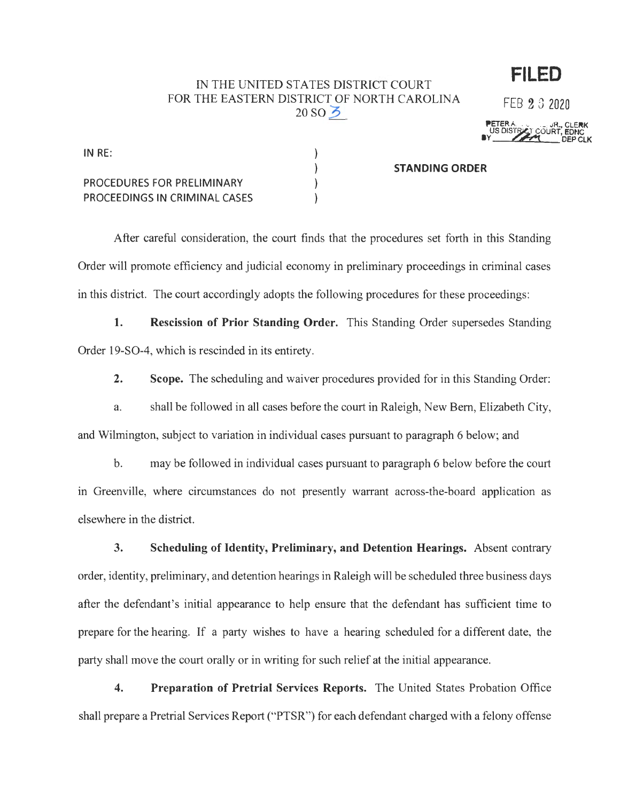## IN THE UNITED STATES DISTRICT COURT FOR THE EASTERN DISTRICT OF NORTH CAROLINA  $20S$ <sub>O</sub> $\geq$

FEB 2 3 2020

**FILED** 

**PETER A. , GLERK**<br>US DISTRICT COURT, EDNC<br>BY \_\_\_\_\_\_\_\_\_\_\_\_\_\_\_\_\_\_\_\_\_\_DEP CLK

| IN $RE:$                      |                       |
|-------------------------------|-----------------------|
|                               | <b>STANDING ORDER</b> |
| PROCEDURES FOR PRELIMINARY    |                       |
| PROCEEDINGS IN CRIMINAL CASES |                       |

After careful consideration, the court finds that the procedures set forth in this Standing Order will promote efficiency and judicial economy in preliminary proceedings in criminal cases in this district. The court accordingly adopts the following procedures for these proceedings:

**1. Rescission of Prior Standing Order.** This Standing Order supersedes Standing Order 19-S0-4, which is rescinded in its entirety.

**2. Scope.** The scheduling and waiver procedures provided for in this Standing Order:

a. shall be followed in all cases before the court in Raleigh, New Bern, Elizabeth City, and Wilmington, subject to variation in individual cases pursuant to paragraph 6 below; and

b. may be followed in individual cases pursuant to paragraph 6 below before the court m Greenville, where circumstances do not presently warrant across-the-board application as elsewhere in the district.

**3. Scheduling of Identity, Preliminary, and Detention Hearings.** Absent contrary order, identity, preliminary, and detention hearings in Raleigh will be scheduled three business days after the defendant's initial appearance to help ensure that the defendant has sufficient time to prepare for the hearing. If a party wishes to have a hearing scheduled for a different date, the party shall move the court orally or in writing for such relief at the initial appearance.

**4. Preparation of Pretrial Services Reports.** The United States Probation Office shall prepare a Pretrial Services Report ("PTSR") for each defendant charged with a felony offense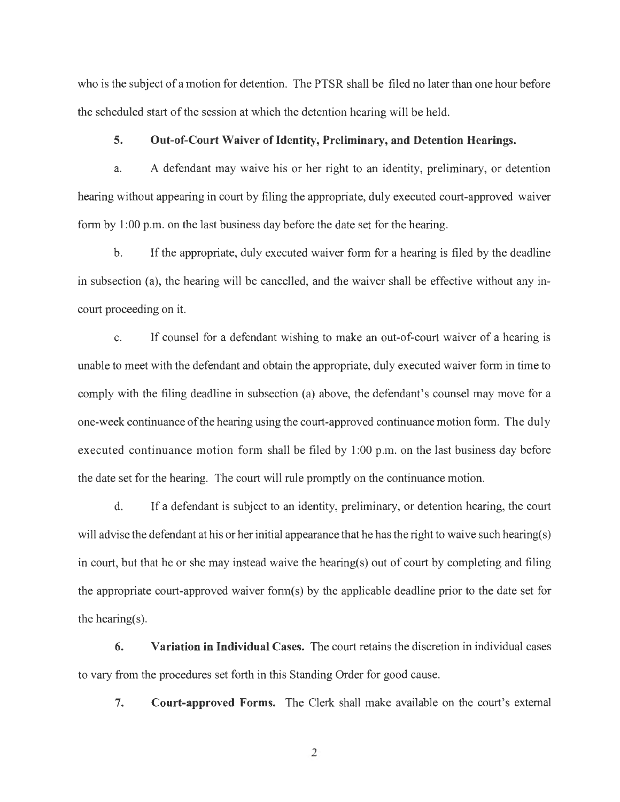who is the subject of a motion for detention. The PTSR shall be filed no later than one hour before the scheduled start of the session at which the detention hearing will be held.

## **5.** Out-of-Court Waiver of Identity, Preliminary, and Detention Hearings.

a. A defendant may waive his or her right to an identity, preliminary, or detention hearing without appearing in court by filing the appropriate, duly executed court-approved waiver form by 1 :00 p.m. on the last business day before the date set for the hearing.

b. If the appropriate, duly executed waiver fonn for a hearing is filed by the deadline in subsection (a), the hearing will be cancelled, and the waiver shall be effective without any incourt proceeding on it.

c. If counsel for a defendant wishing to make an out-of-court waiver of a hearing is unable to meet with the defendant and obtain the appropriate, duly executed waiver form in time to comply with the filing deadline in subsection (a) above, the defendant's counsel may move for a one-week continuance of the hearing using the court-approved continuance motion form. The duly executed continuance motion form shall be filed by 1 :00 p.m. on the last business day before the date set for the hearing. The court will rule promptly on the continuance motion.

d. If a defendant is subject to an identity, preliminary, or detention hearing, the court will advise the defendant at his or her initial appearance that he has the right to waive such hearing(s) in court, but that he or she may instead waive the hearing(s) out of court by completing and filing the appropriate court-approved waiver form(s) by the applicable deadline prior to the date set for the hearing(s).

**6. Variation in Individual Cases.** The court retains the discretion in individual cases to vary from the procedures set forth in this Standing Order for good cause.

**7. Court-approved Forms.** The Clerk shall make available on the court's external

2